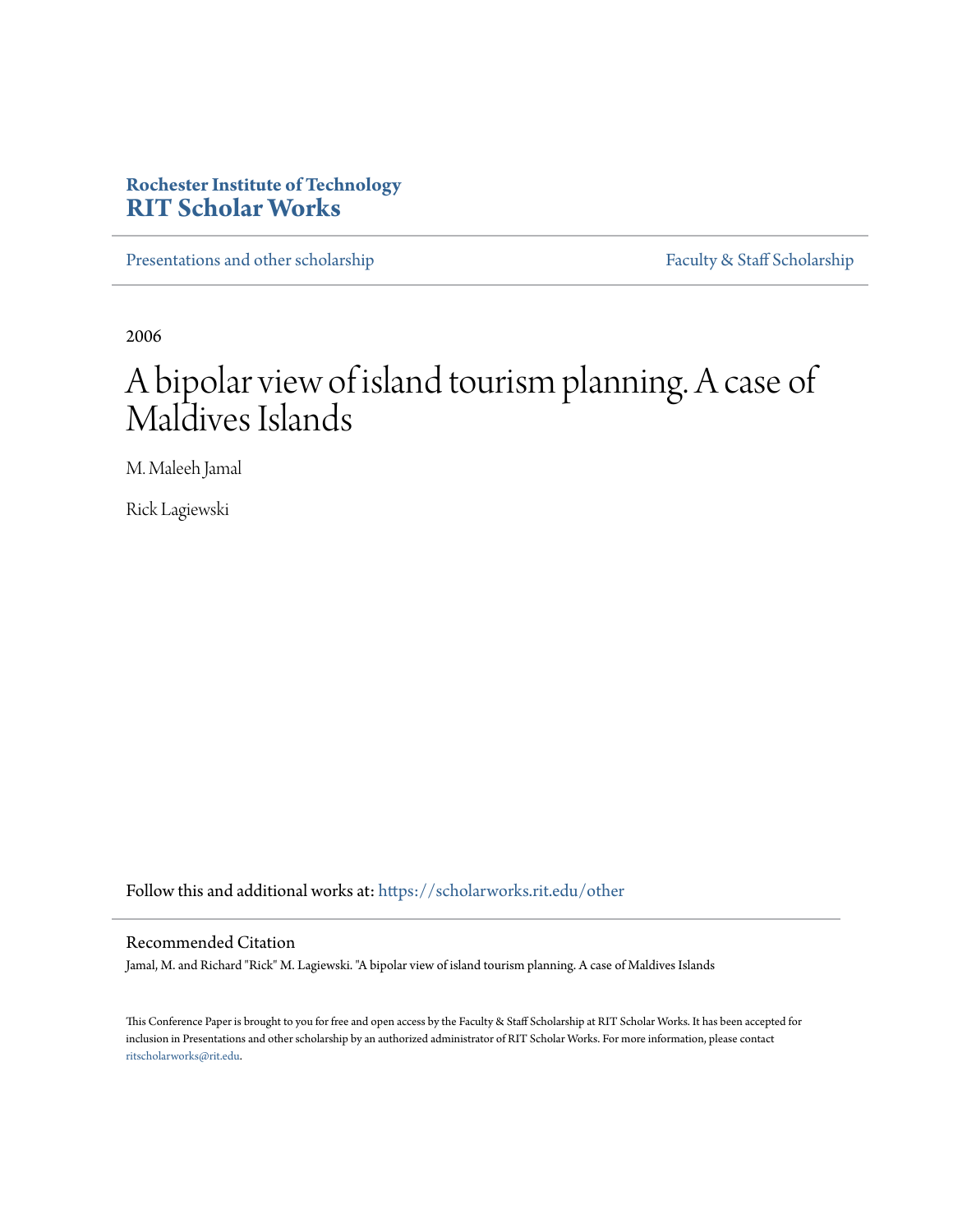## **Rochester Institute of Technology [RIT Scholar Works](https://scholarworks.rit.edu?utm_source=scholarworks.rit.edu%2Fother%2F634&utm_medium=PDF&utm_campaign=PDFCoverPages)**

[Presentations and other scholarship](https://scholarworks.rit.edu/other?utm_source=scholarworks.rit.edu%2Fother%2F634&utm_medium=PDF&utm_campaign=PDFCoverPages) [Faculty & Staff Scholarship](https://scholarworks.rit.edu/facstaff?utm_source=scholarworks.rit.edu%2Fother%2F634&utm_medium=PDF&utm_campaign=PDFCoverPages)

2006

# A bipolar view of island tourism planning. A case of Maldives Islands

M. Maleeh Jamal

Rick Lagiewski

Follow this and additional works at: [https://scholarworks.rit.edu/other](https://scholarworks.rit.edu/other?utm_source=scholarworks.rit.edu%2Fother%2F634&utm_medium=PDF&utm_campaign=PDFCoverPages)

#### Recommended Citation

Jamal, M. and Richard "Rick" M. Lagiewski. "A bipolar view of island tourism planning. A case of Maldives Islands

This Conference Paper is brought to you for free and open access by the Faculty & Staff Scholarship at RIT Scholar Works. It has been accepted for inclusion in Presentations and other scholarship by an authorized administrator of RIT Scholar Works. For more information, please contact [ritscholarworks@rit.edu](mailto:ritscholarworks@rit.edu).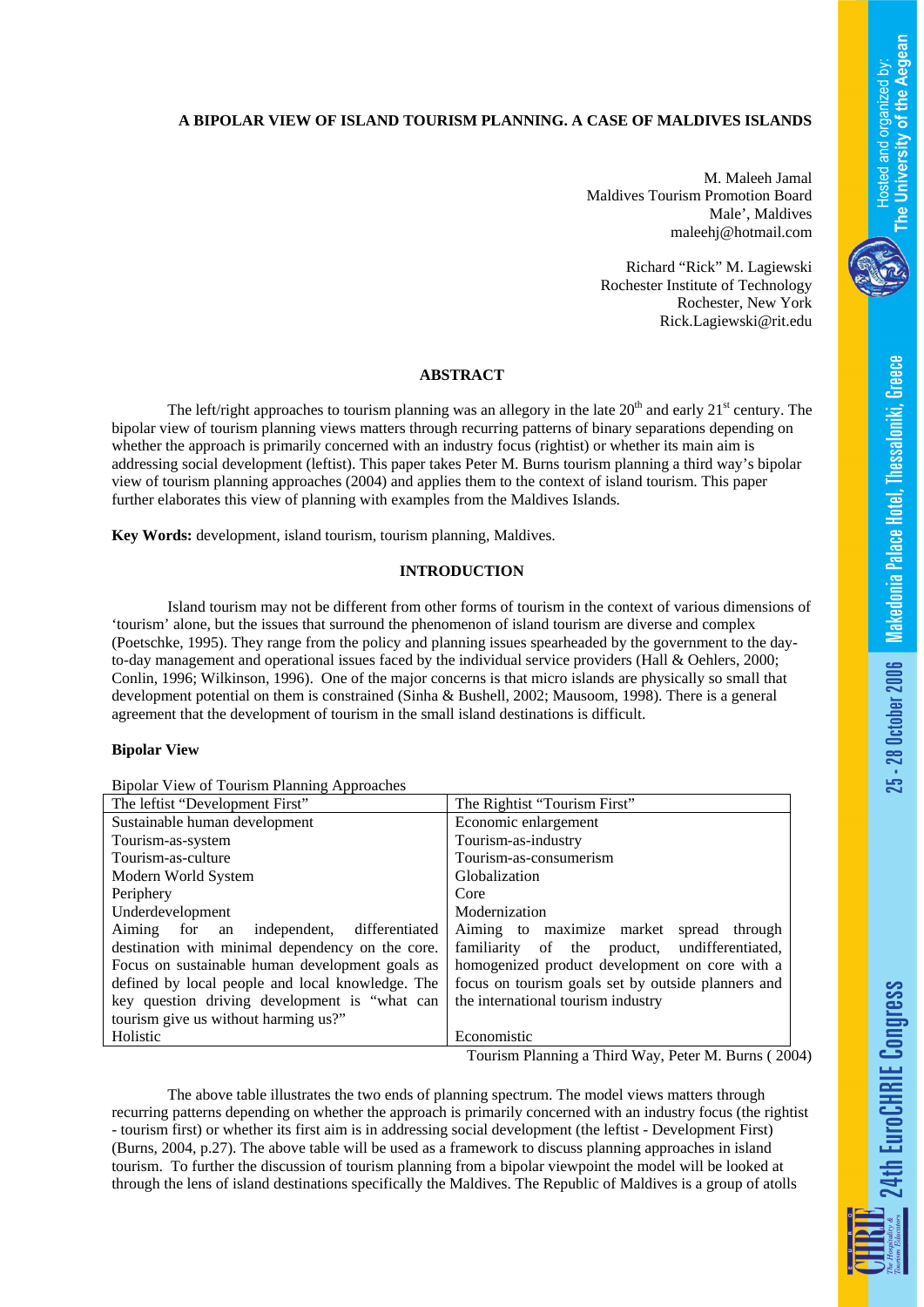### **A BIPOLAR VIEW OF ISLAND TOURISM PLANNING. A CASE OF MALDIVES ISLANDS**

M. Maleeh Jamal Maldives Tourism Promotion Board Male', Maldives maleehj@hotmail.com

Richard "Rick" M. Lagiewski Rochester Institute of Technology Rochester, New York Rick.Lagiewski@rit.edu

#### **ABSTRACT**

The left/right approaches to tourism planning was an allegory in the late  $20<sup>th</sup>$  and early  $21<sup>st</sup>$  century. The bipolar view of tourism planning views matters through recurring patterns of binary separations depending on whether the approach is primarily concerned with an industry focus (rightist) or whether its main aim is addressing social development (leftist). This paper takes Peter M. Burns tourism planning a third way's bipolar view of tourism planning approaches (2004) and applies them to the context of island tourism. This paper further elaborates this view of planning with examples from the Maldives Islands.

**Key Words:** development, island tourism, tourism planning, Maldives.

#### **INTRODUCTION**

Island tourism may not be different from other forms of tourism in the context of various dimensions of 'tourism' alone, but the issues that surround the phenomenon of island tourism are diverse and complex (Poetschke, 1995). They range from the policy and planning issues spearheaded by the government to the dayto-day management and operational issues faced by the individual service providers (Hall & Oehlers, 2000; Conlin, 1996; Wilkinson, 1996). One of the major concerns is that micro islands are physically so small that development potential on them is constrained (Sinha & Bushell, 2002; Mausoom, 1998). There is a general agreement that the development of tourism in the small island destinations is difficult.

#### **Bipolar View**

Bipolar View of Tourism Planning Approaches

| The leftist "Development First"                    | The Rightist "Tourism First"                       |
|----------------------------------------------------|----------------------------------------------------|
| Sustainable human development                      | Economic enlargement                               |
| Tourism-as-system                                  | Tourism-as-industry                                |
| Tourism-as-culture                                 | Tourism-as-consumerism                             |
| Modern World System                                | Globalization                                      |
| Periphery                                          | Core                                               |
| Underdevelopment                                   | Modernization                                      |
| differentiated<br>Aiming for an<br>independent,    | Aiming to maximize market spread through           |
| destination with minimal dependency on the core.   | familiarity of the product, undifferentiated,      |
| Focus on sustainable human development goals as    | homogenized product development on core with a     |
| defined by local people and local knowledge. The   | focus on tourism goals set by outside planners and |
| key question driving development is "what can      | the international tourism industry                 |
| tourism give us without harming us?"               |                                                    |
| Holistic                                           | Economistic                                        |
| Tourism Planning a Third Way, Poter M, Burns (2004 |                                                    |

Tourism Planning a Third Way, Peter M. Burns ( 2004)

The above table illustrates the two ends of planning spectrum. The model views matters through recurring patterns depending on whether the approach is primarily concerned with an industry focus (the rightist - tourism first) or whether its first aim is in addressing social development (the leftist - Development First) (Burns, 2004, p.27). The above table will be used as a framework to discuss planning approaches in island tourism. To further the discussion of tourism planning from a bipolar viewpoint the model will be looked at through the lens of island destinations specifically the Maldives. The Republic of Maldives is a group of atolls

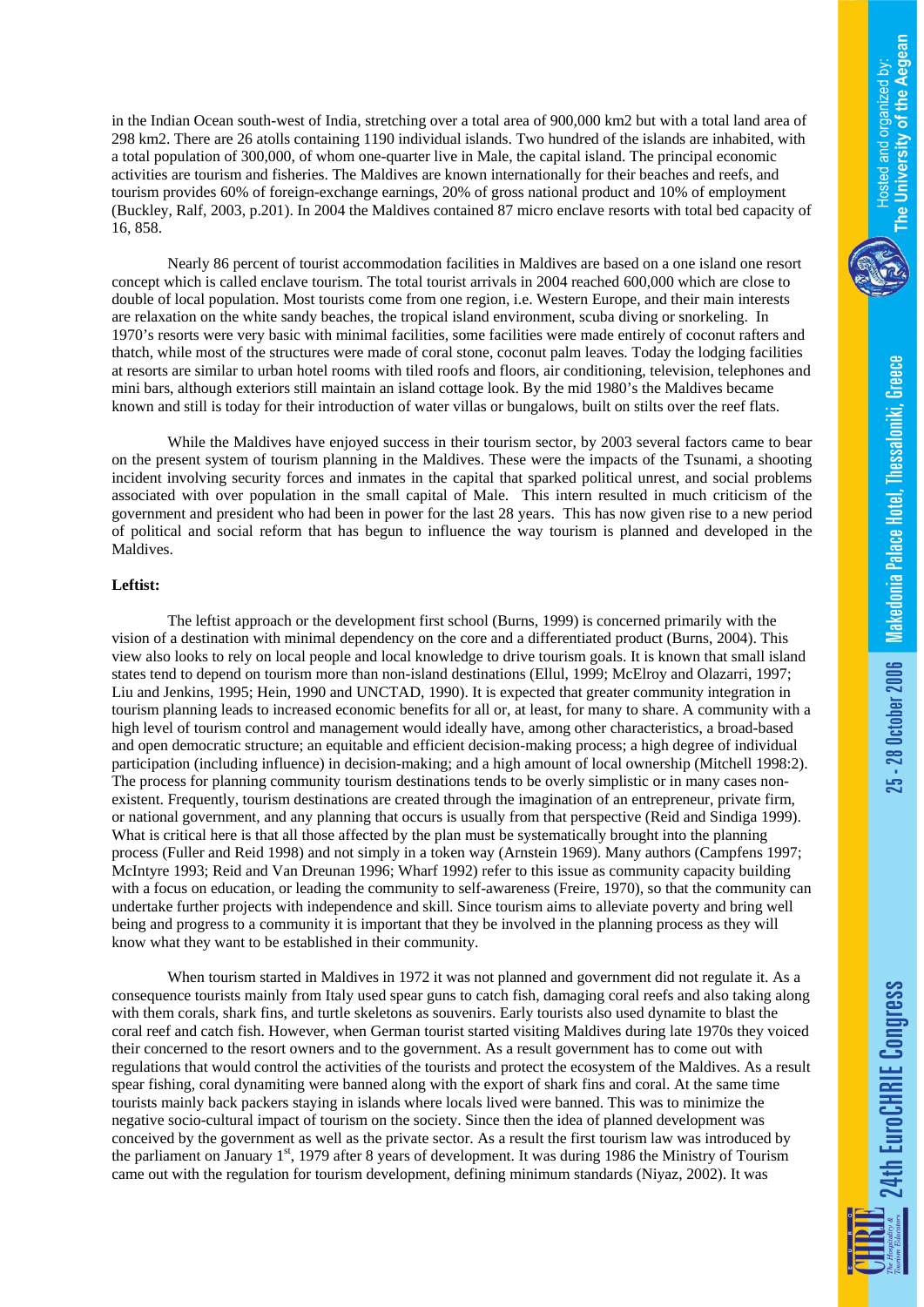**4th EuroCHRIE Congress** 

in the Indian Ocean south-west of India, stretching over a total area of 900,000 km2 but with a total land area of 298 km2. There are 26 atolls containing 1190 individual islands. Two hundred of the islands are inhabited, with a total population of 300,000, of whom one-quarter live in Male, the capital island. The principal economic activities are tourism and fisheries. The Maldives are known internationally for their beaches and reefs, and tourism provides 60% of foreign-exchange earnings, 20% of gross national product and 10% of employment (Buckley, Ralf, 2003, p.201). In 2004 the Maldives contained 87 micro enclave resorts with total bed capacity of 16, 858.

Nearly 86 percent of tourist accommodation facilities in Maldives are based on a one island one resort concept which is called enclave tourism. The total tourist arrivals in 2004 reached 600,000 which are close to double of local population. Most tourists come from one region, i.e. Western Europe, and their main interests are relaxation on the white sandy beaches, the tropical island environment, scuba diving or snorkeling. In 1970's resorts were very basic with minimal facilities, some facilities were made entirely of coconut rafters and thatch, while most of the structures were made of coral stone, coconut palm leaves. Today the lodging facilities at resorts are similar to urban hotel rooms with tiled roofs and floors, air conditioning, television, telephones and mini bars, although exteriors still maintain an island cottage look. By the mid 1980's the Maldives became known and still is today for their introduction of water villas or bungalows, built on stilts over the reef flats.

While the Maldives have enjoyed success in their tourism sector, by 2003 several factors came to bear on the present system of tourism planning in the Maldives. These were the impacts of the Tsunami, a shooting incident involving security forces and inmates in the capital that sparked political unrest, and social problems associated with over population in the small capital of Male. This intern resulted in much criticism of the government and president who had been in power for the last 28 years. This has now given rise to a new period of political and social reform that has begun to influence the way tourism is planned and developed in the Maldives.

#### **Leftist:**

The leftist approach or the development first school (Burns, 1999) is concerned primarily with the vision of a destination with minimal dependency on the core and a differentiated product (Burns, 2004). This view also looks to rely on local people and local knowledge to drive tourism goals. It is known that small island states tend to depend on tourism more than non-island destinations (Ellul, 1999; McElroy and Olazarri, 1997; Liu and Jenkins, 1995; Hein, 1990 and UNCTAD, 1990). It is expected that greater community integration in tourism planning leads to increased economic benefits for all or, at least, for many to share. A community with a high level of tourism control and management would ideally have, among other characteristics, a broad-based and open democratic structure; an equitable and efficient decision-making process; a high degree of individual participation (including influence) in decision-making; and a high amount of local ownership (Mitchell 1998:2). The process for planning community tourism destinations tends to be overly simplistic or in many cases nonexistent. Frequently, tourism destinations are created through the imagination of an entrepreneur, private firm, or national government, and any planning that occurs is usually from that perspective (Reid and Sindiga 1999). What is critical here is that all those affected by the plan must be systematically brought into the planning process (Fuller and Reid 1998) and not simply in a token way (Arnstein 1969). Many authors (Campfens 1997; McIntyre 1993; Reid and Van Dreunan 1996; Wharf 1992) refer to this issue as community capacity building with a focus on education, or leading the community to self-awareness (Freire, 1970), so that the community can undertake further projects with independence and skill. Since tourism aims to alleviate poverty and bring well being and progress to a community it is important that they be involved in the planning process as they will know what they want to be established in their community.

When tourism started in Maldives in 1972 it was not planned and government did not regulate it. As a consequence tourists mainly from Italy used spear guns to catch fish, damaging coral reefs and also taking along with them corals, shark fins, and turtle skeletons as souvenirs. Early tourists also used dynamite to blast the coral reef and catch fish. However, when German tourist started visiting Maldives during late 1970s they voiced their concerned to the resort owners and to the government. As a result government has to come out with regulations that would control the activities of the tourists and protect the ecosystem of the Maldives. As a result spear fishing, coral dynamiting were banned along with the export of shark fins and coral. At the same time tourists mainly back packers staying in islands where locals lived were banned. This was to minimize the negative socio-cultural impact of tourism on the society. Since then the idea of planned development was conceived by the government as well as the private sector. As a result the first tourism law was introduced by the parliament on January 1<sup>st</sup>, 1979 after 8 years of development. It was during 1986 the Ministry of Tourism came out with the regulation for tourism development, defining minimum standards (Niyaz, 2002). It was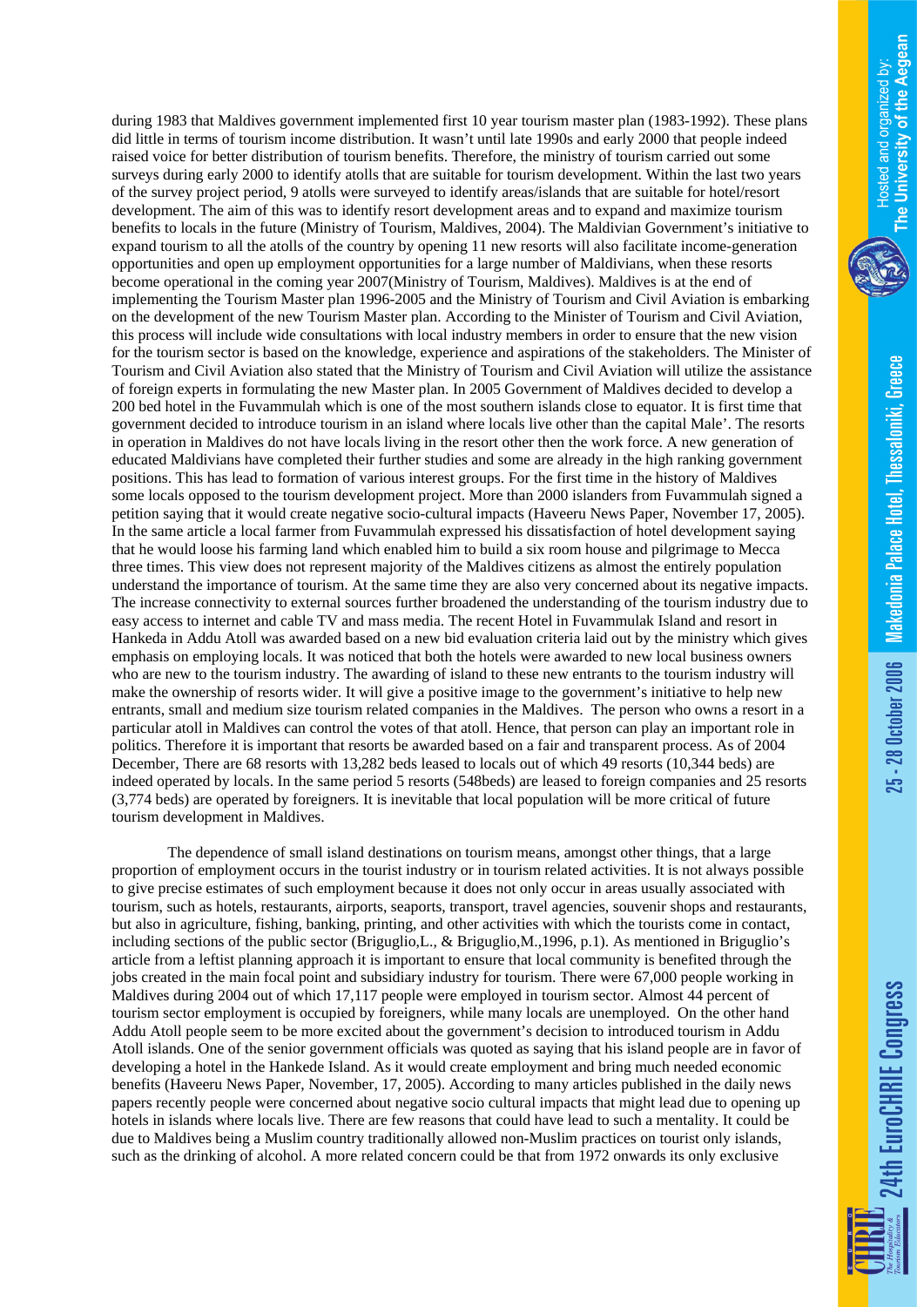**4th EuroCHRIE Congress** 

did little in terms of tourism income distribution. It wasn't until late 1990s and early 2000 that people indeed raised voice for better distribution of tourism benefits. Therefore, the ministry of tourism carried out some surveys during early 2000 to identify atolls that are suitable for tourism development. Within the last two years of the survey project period, 9 atolls were surveyed to identify areas/islands that are suitable for hotel/resort development. The aim of this was to identify resort development areas and to expand and maximize tourism benefits to locals in the future (Ministry of Tourism, Maldives, 2004). The Maldivian Government's initiative to expand tourism to all the atolls of the country by opening 11 new resorts will also facilitate income-generation opportunities and open up employment opportunities for a large number of Maldivians, when these resorts become operational in the coming year 2007(Ministry of Tourism, Maldives). Maldives is at the end of implementing the Tourism Master plan 1996-2005 and the Ministry of Tourism and Civil Aviation is embarking on the development of the new Tourism Master plan. According to the Minister of Tourism and Civil Aviation, this process will include wide consultations with local industry members in order to ensure that the new vision for the tourism sector is based on the knowledge, experience and aspirations of the stakeholders. The Minister of Tourism and Civil Aviation also stated that the Ministry of Tourism and Civil Aviation will utilize the assistance of foreign experts in formulating the new Master plan. In 2005 Government of Maldives decided to develop a 200 bed hotel in the Fuvammulah which is one of the most southern islands close to equator. It is first time that government decided to introduce tourism in an island where locals live other than the capital Male'. The resorts in operation in Maldives do not have locals living in the resort other then the work force. A new generation of educated Maldivians have completed their further studies and some are already in the high ranking government positions. This has lead to formation of various interest groups. For the first time in the history of Maldives some locals opposed to the tourism development project. More than 2000 islanders from Fuvammulah signed a petition saying that it would create negative socio-cultural impacts (Haveeru News Paper, November 17, 2005). In the same article a local farmer from Fuvammulah expressed his dissatisfaction of hotel development saying that he would loose his farming land which enabled him to build a six room house and pilgrimage to Mecca three times. This view does not represent majority of the Maldives citizens as almost the entirely population understand the importance of tourism. At the same time they are also very concerned about its negative impacts. The increase connectivity to external sources further broadened the understanding of the tourism industry due to easy access to internet and cable TV and mass media. The recent Hotel in Fuvammulak Island and resort in Hankeda in Addu Atoll was awarded based on a new bid evaluation criteria laid out by the ministry which gives emphasis on employing locals. It was noticed that both the hotels were awarded to new local business owners who are new to the tourism industry. The awarding of island to these new entrants to the tourism industry will make the ownership of resorts wider. It will give a positive image to the government's initiative to help new entrants, small and medium size tourism related companies in the Maldives. The person who owns a resort in a particular atoll in Maldives can control the votes of that atoll. Hence, that person can play an important role in politics. Therefore it is important that resorts be awarded based on a fair and transparent process. As of 2004 December, There are 68 resorts with 13,282 beds leased to locals out of which 49 resorts (10,344 beds) are indeed operated by locals. In the same period 5 resorts (548beds) are leased to foreign companies and 25 resorts (3,774 beds) are operated by foreigners. It is inevitable that local population will be more critical of future tourism development in Maldives.

during 1983 that Maldives government implemented first 10 year tourism master plan (1983-1992). These plans

The dependence of small island destinations on tourism means, amongst other things, that a large proportion of employment occurs in the tourist industry or in tourism related activities. It is not always possible to give precise estimates of such employment because it does not only occur in areas usually associated with tourism, such as hotels, restaurants, airports, seaports, transport, travel agencies, souvenir shops and restaurants, but also in agriculture, fishing, banking, printing, and other activities with which the tourists come in contact, including sections of the public sector (Briguglio,L., & Briguglio,M.,1996, p.1). As mentioned in Briguglio's article from a leftist planning approach it is important to ensure that local community is benefited through the jobs created in the main focal point and subsidiary industry for tourism. There were 67,000 people working in Maldives during 2004 out of which 17,117 people were employed in tourism sector. Almost 44 percent of tourism sector employment is occupied by foreigners, while many locals are unemployed. On the other hand Addu Atoll people seem to be more excited about the government's decision to introduced tourism in Addu Atoll islands. One of the senior government officials was quoted as saying that his island people are in favor of developing a hotel in the Hankede Island. As it would create employment and bring much needed economic benefits (Haveeru News Paper, November, 17, 2005). According to many articles published in the daily news papers recently people were concerned about negative socio cultural impacts that might lead due to opening up hotels in islands where locals live. There are few reasons that could have lead to such a mentality. It could be due to Maldives being a Muslim country traditionally allowed non-Muslim practices on tourist only islands, such as the drinking of alcohol. A more related concern could be that from 1972 onwards its only exclusive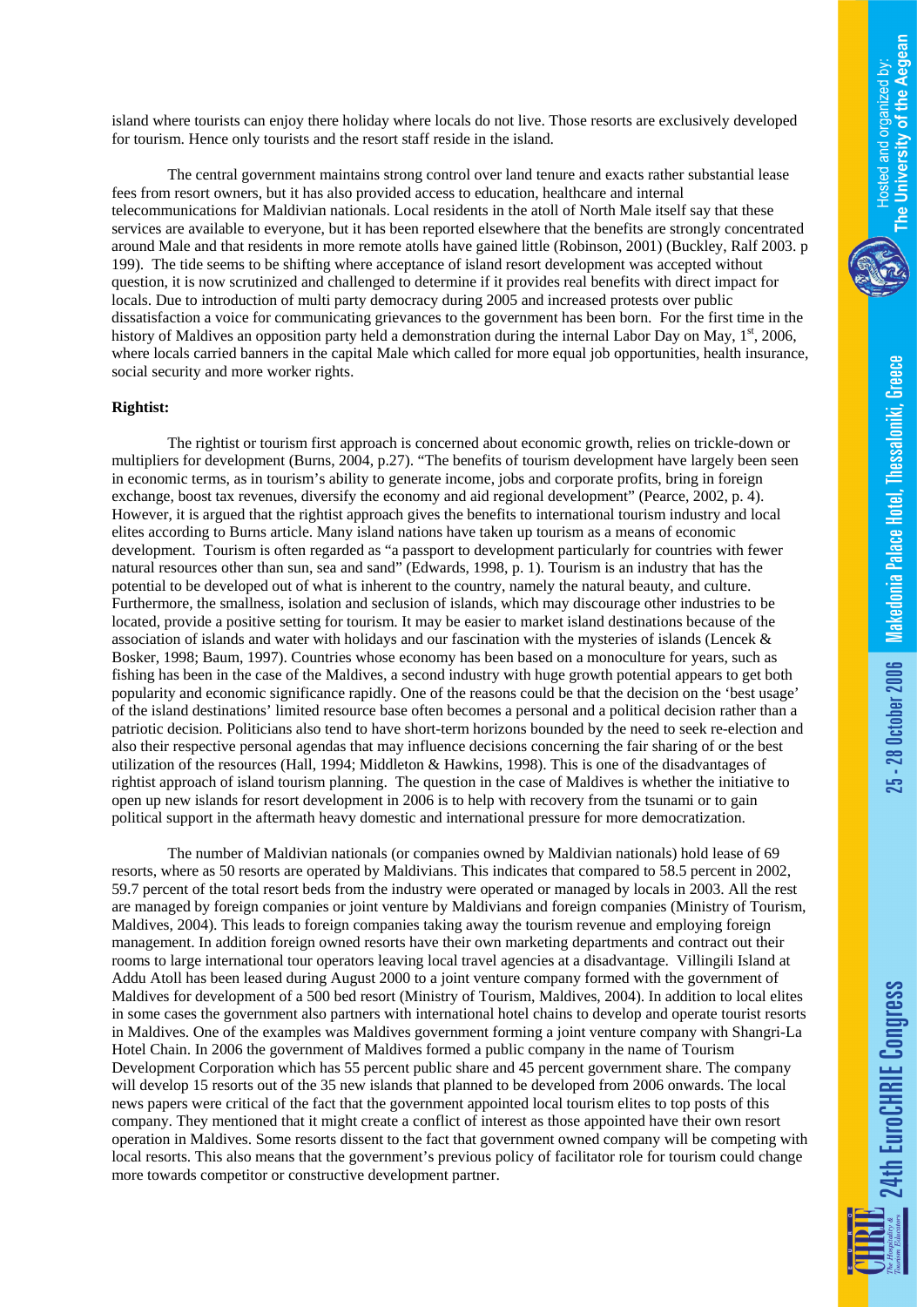**24th EuroCHRIE Congress** 

island where tourists can enjoy there holiday where locals do not live. Those resorts are exclusively developed for tourism. Hence only tourists and the resort staff reside in the island.

The central government maintains strong control over land tenure and exacts rather substantial lease fees from resort owners, but it has also provided access to education, healthcare and internal telecommunications for Maldivian nationals. Local residents in the atoll of North Male itself say that these services are available to everyone, but it has been reported elsewhere that the benefits are strongly concentrated around Male and that residents in more remote atolls have gained little (Robinson, 2001) (Buckley, Ralf 2003. p 199). The tide seems to be shifting where acceptance of island resort development was accepted without question, it is now scrutinized and challenged to determine if it provides real benefits with direct impact for locals. Due to introduction of multi party democracy during 2005 and increased protests over public dissatisfaction a voice for communicating grievances to the government has been born. For the first time in the history of Maldives an opposition party held a demonstration during the internal Labor Day on May,  $1<sup>st</sup>$ , 2006, where locals carried banners in the capital Male which called for more equal job opportunities, health insurance, social security and more worker rights.

#### **Rightist:**

The rightist or tourism first approach is concerned about economic growth, relies on trickle-down or multipliers for development (Burns, 2004, p.27). "The benefits of tourism development have largely been seen in economic terms, as in tourism's ability to generate income, jobs and corporate profits, bring in foreign exchange, boost tax revenues, diversify the economy and aid regional development" (Pearce, 2002, p. 4). However, it is argued that the rightist approach gives the benefits to international tourism industry and local elites according to Burns article. Many island nations have taken up tourism as a means of economic development. Tourism is often regarded as "a passport to development particularly for countries with fewer natural resources other than sun, sea and sand" (Edwards, 1998, p. 1). Tourism is an industry that has the potential to be developed out of what is inherent to the country, namely the natural beauty, and culture. Furthermore, the smallness, isolation and seclusion of islands, which may discourage other industries to be located, provide a positive setting for tourism. It may be easier to market island destinations because of the association of islands and water with holidays and our fascination with the mysteries of islands (Lencek & Bosker, 1998; Baum, 1997). Countries whose economy has been based on a monoculture for years, such as fishing has been in the case of the Maldives, a second industry with huge growth potential appears to get both popularity and economic significance rapidly. One of the reasons could be that the decision on the 'best usage' of the island destinations' limited resource base often becomes a personal and a political decision rather than a patriotic decision. Politicians also tend to have short-term horizons bounded by the need to seek re-election and also their respective personal agendas that may influence decisions concerning the fair sharing of or the best utilization of the resources (Hall, 1994; Middleton & Hawkins, 1998). This is one of the disadvantages of rightist approach of island tourism planning. The question in the case of Maldives is whether the initiative to open up new islands for resort development in 2006 is to help with recovery from the tsunami or to gain political support in the aftermath heavy domestic and international pressure for more democratization.

The number of Maldivian nationals (or companies owned by Maldivian nationals) hold lease of 69 resorts, where as 50 resorts are operated by Maldivians. This indicates that compared to 58.5 percent in 2002, 59.7 percent of the total resort beds from the industry were operated or managed by locals in 2003. All the rest are managed by foreign companies or joint venture by Maldivians and foreign companies (Ministry of Tourism, Maldives, 2004). This leads to foreign companies taking away the tourism revenue and employing foreign management. In addition foreign owned resorts have their own marketing departments and contract out their rooms to large international tour operators leaving local travel agencies at a disadvantage. Villingili Island at Addu Atoll has been leased during August 2000 to a joint venture company formed with the government of Maldives for development of a 500 bed resort (Ministry of Tourism, Maldives, 2004). In addition to local elites in some cases the government also partners with international hotel chains to develop and operate tourist resorts in Maldives. One of the examples was Maldives government forming a joint venture company with Shangri-La Hotel Chain. In 2006 the government of Maldives formed a public company in the name of Tourism Development Corporation which has 55 percent public share and 45 percent government share. The company will develop 15 resorts out of the 35 new islands that planned to be developed from 2006 onwards. The local news papers were critical of the fact that the government appointed local tourism elites to top posts of this company. They mentioned that it might create a conflict of interest as those appointed have their own resort operation in Maldives. Some resorts dissent to the fact that government owned company will be competing with local resorts. This also means that the government's previous policy of facilitator role for tourism could change more towards competitor or constructive development partner.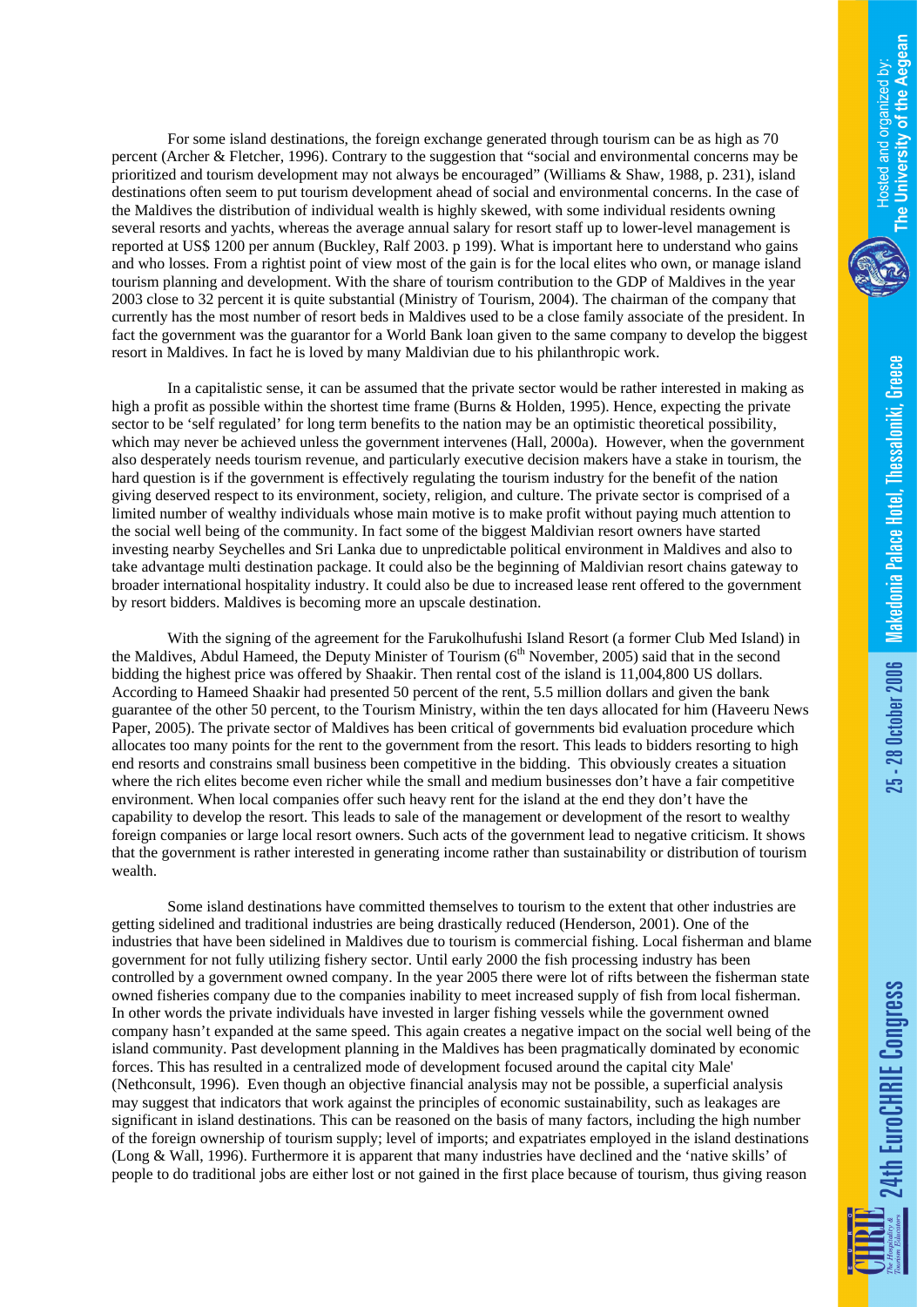25 - 28 October 2006 | Makedonia Palace Hotel, Thessaloniki, Greece

For some island destinations, the foreign exchange generated through tourism can be as high as 70 percent (Archer & Fletcher, 1996). Contrary to the suggestion that "social and environmental concerns may be prioritized and tourism development may not always be encouraged" (Williams & Shaw, 1988, p. 231), island destinations often seem to put tourism development ahead of social and environmental concerns. In the case of the Maldives the distribution of individual wealth is highly skewed, with some individual residents owning several resorts and yachts, whereas the average annual salary for resort staff up to lower-level management is reported at US\$ 1200 per annum (Buckley, Ralf 2003. p 199). What is important here to understand who gains and who losses. From a rightist point of view most of the gain is for the local elites who own, or manage island tourism planning and development. With the share of tourism contribution to the GDP of Maldives in the year 2003 close to 32 percent it is quite substantial (Ministry of Tourism, 2004). The chairman of the company that currently has the most number of resort beds in Maldives used to be a close family associate of the president. In fact the government was the guarantor for a World Bank loan given to the same company to develop the biggest resort in Maldives. In fact he is loved by many Maldivian due to his philanthropic work.

In a capitalistic sense, it can be assumed that the private sector would be rather interested in making as high a profit as possible within the shortest time frame (Burns & Holden, 1995). Hence, expecting the private sector to be 'self regulated' for long term benefits to the nation may be an optimistic theoretical possibility, which may never be achieved unless the government intervenes (Hall, 2000a). However, when the government also desperately needs tourism revenue, and particularly executive decision makers have a stake in tourism, the hard question is if the government is effectively regulating the tourism industry for the benefit of the nation giving deserved respect to its environment, society, religion, and culture. The private sector is comprised of a limited number of wealthy individuals whose main motive is to make profit without paying much attention to the social well being of the community. In fact some of the biggest Maldivian resort owners have started investing nearby Seychelles and Sri Lanka due to unpredictable political environment in Maldives and also to take advantage multi destination package. It could also be the beginning of Maldivian resort chains gateway to broader international hospitality industry. It could also be due to increased lease rent offered to the government by resort bidders. Maldives is becoming more an upscale destination.

With the signing of the agreement for the Farukolhufushi Island Resort (a former Club Med Island) in the Maldives, Abdul Hameed, the Deputy Minister of Tourism (6<sup>th</sup> November, 2005) said that in the second bidding the highest price was offered by Shaakir. Then rental cost of the island is 11,004,800 US dollars. According to Hameed Shaakir had presented 50 percent of the rent, 5.5 million dollars and given the bank guarantee of the other 50 percent, to the Tourism Ministry, within the ten days allocated for him (Haveeru News Paper, 2005). The private sector of Maldives has been critical of governments bid evaluation procedure which allocates too many points for the rent to the government from the resort. This leads to bidders resorting to high end resorts and constrains small business been competitive in the bidding. This obviously creates a situation where the rich elites become even richer while the small and medium businesses don't have a fair competitive environment. When local companies offer such heavy rent for the island at the end they don't have the capability to develop the resort. This leads to sale of the management or development of the resort to wealthy foreign companies or large local resort owners. Such acts of the government lead to negative criticism. It shows that the government is rather interested in generating income rather than sustainability or distribution of tourism wealth.

Some island destinations have committed themselves to tourism to the extent that other industries are getting sidelined and traditional industries are being drastically reduced (Henderson, 2001). One of the industries that have been sidelined in Maldives due to tourism is commercial fishing. Local fisherman and blame government for not fully utilizing fishery sector. Until early 2000 the fish processing industry has been controlled by a government owned company. In the year 2005 there were lot of rifts between the fisherman state owned fisheries company due to the companies inability to meet increased supply of fish from local fisherman. In other words the private individuals have invested in larger fishing vessels while the government owned company hasn't expanded at the same speed. This again creates a negative impact on the social well being of the island community. Past development planning in the Maldives has been pragmatically dominated by economic forces. This has resulted in a centralized mode of development focused around the capital city Male' (Nethconsult, 1996). Even though an objective financial analysis may not be possible, a superficial analysis may suggest that indicators that work against the principles of economic sustainability, such as leakages are significant in island destinations. This can be reasoned on the basis of many factors, including the high number of the foreign ownership of tourism supply; level of imports; and expatriates employed in the island destinations (Long & Wall, 1996). Furthermore it is apparent that many industries have declined and the 'native skills' of people to do traditional jobs are either lost or not gained in the first place because of tourism, thus giving reason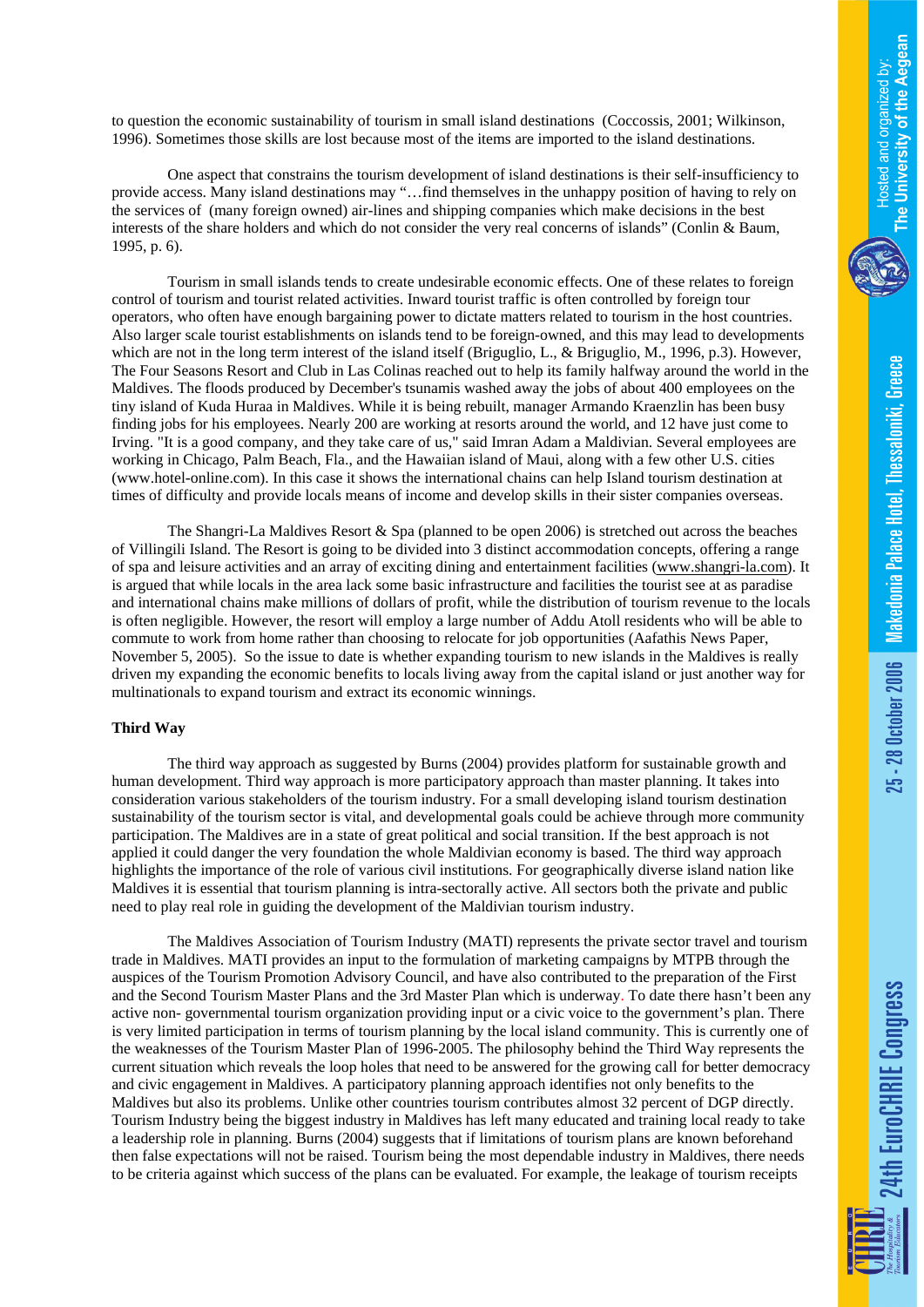25 - 28 October 2006 Makedonia Palace Hotel, Thessaloniki, Greece

to question the economic sustainability of tourism in small island destinations (Coccossis, 2001; Wilkinson, 1996). Sometimes those skills are lost because most of the items are imported to the island destinations.

One aspect that constrains the tourism development of island destinations is their self-insufficiency to provide access. Many island destinations may "…find themselves in the unhappy position of having to rely on the services of (many foreign owned) air-lines and shipping companies which make decisions in the best interests of the share holders and which do not consider the very real concerns of islands" (Conlin & Baum, 1995, p. 6).

Tourism in small islands tends to create undesirable economic effects. One of these relates to foreign control of tourism and tourist related activities. Inward tourist traffic is often controlled by foreign tour operators, who often have enough bargaining power to dictate matters related to tourism in the host countries. Also larger scale tourist establishments on islands tend to be foreign-owned, and this may lead to developments which are not in the long term interest of the island itself (Briguglio, L., & Briguglio, M., 1996, p.3). However, The Four Seasons Resort and Club in Las Colinas reached out to help its family halfway around the world in the Maldives. The floods produced by December's tsunamis washed away the jobs of about 400 employees on the tiny island of Kuda Huraa in Maldives. While it is being rebuilt, manager Armando Kraenzlin has been busy finding jobs for his employees. Nearly 200 are working at resorts around the world, and 12 have just come to Irving. "It is a good company, and they take care of us," said Imran Adam a Maldivian. Several employees are working in Chicago, Palm Beach, Fla., and the Hawaiian island of Maui, along with a few other U.S. cities (www.hotel-online.com). In this case it shows the international chains can help Island tourism destination at times of difficulty and provide locals means of income and develop skills in their sister companies overseas.

The Shangri-La Maldives Resort & Spa (planned to be open 2006) is stretched out across the beaches of Villingili Island. The Resort is going to be divided into 3 distinct accommodation concepts, offering a range of spa and leisure activities and an array of exciting dining and entertainment facilities (www.shangri-la.com). It is argued that while locals in the area lack some basic infrastructure and facilities the tourist see at as paradise and international chains make millions of dollars of profit, while the distribution of tourism revenue to the locals is often negligible. However, the resort will employ a large number of Addu Atoll residents who will be able to commute to work from home rather than choosing to relocate for job opportunities (Aafathis News Paper, November 5, 2005). So the issue to date is whether expanding tourism to new islands in the Maldives is really driven my expanding the economic benefits to locals living away from the capital island or just another way for multinationals to expand tourism and extract its economic winnings.

#### **Third Way**

The third way approach as suggested by Burns (2004) provides platform for sustainable growth and human development. Third way approach is more participatory approach than master planning. It takes into consideration various stakeholders of the tourism industry. For a small developing island tourism destination sustainability of the tourism sector is vital, and developmental goals could be achieve through more community participation. The Maldives are in a state of great political and social transition. If the best approach is not applied it could danger the very foundation the whole Maldivian economy is based. The third way approach highlights the importance of the role of various civil institutions. For geographically diverse island nation like Maldives it is essential that tourism planning is intra-sectorally active. All sectors both the private and public need to play real role in guiding the development of the Maldivian tourism industry.

The Maldives Association of Tourism Industry (MATI) represents the private sector travel and tourism trade in Maldives. MATI provides an input to the formulation of marketing campaigns by MTPB through the auspices of the Tourism Promotion Advisory Council, and have also contributed to the preparation of the First and the Second Tourism Master Plans and the 3rd Master Plan which is underway. To date there hasn't been any active non- governmental tourism organization providing input or a civic voice to the government's plan. There is very limited participation in terms of tourism planning by the local island community. This is currently one of the weaknesses of the Tourism Master Plan of 1996-2005. The philosophy behind the Third Way represents the current situation which reveals the loop holes that need to be answered for the growing call for better democracy and civic engagement in Maldives. A participatory planning approach identifies not only benefits to the Maldives but also its problems. Unlike other countries tourism contributes almost 32 percent of DGP directly. Tourism Industry being the biggest industry in Maldives has left many educated and training local ready to take a leadership role in planning. Burns (2004) suggests that if limitations of tourism plans are known beforehand then false expectations will not be raised. Tourism being the most dependable industry in Maldives, there needs to be criteria against which success of the plans can be evaluated. For example, the leakage of tourism receipts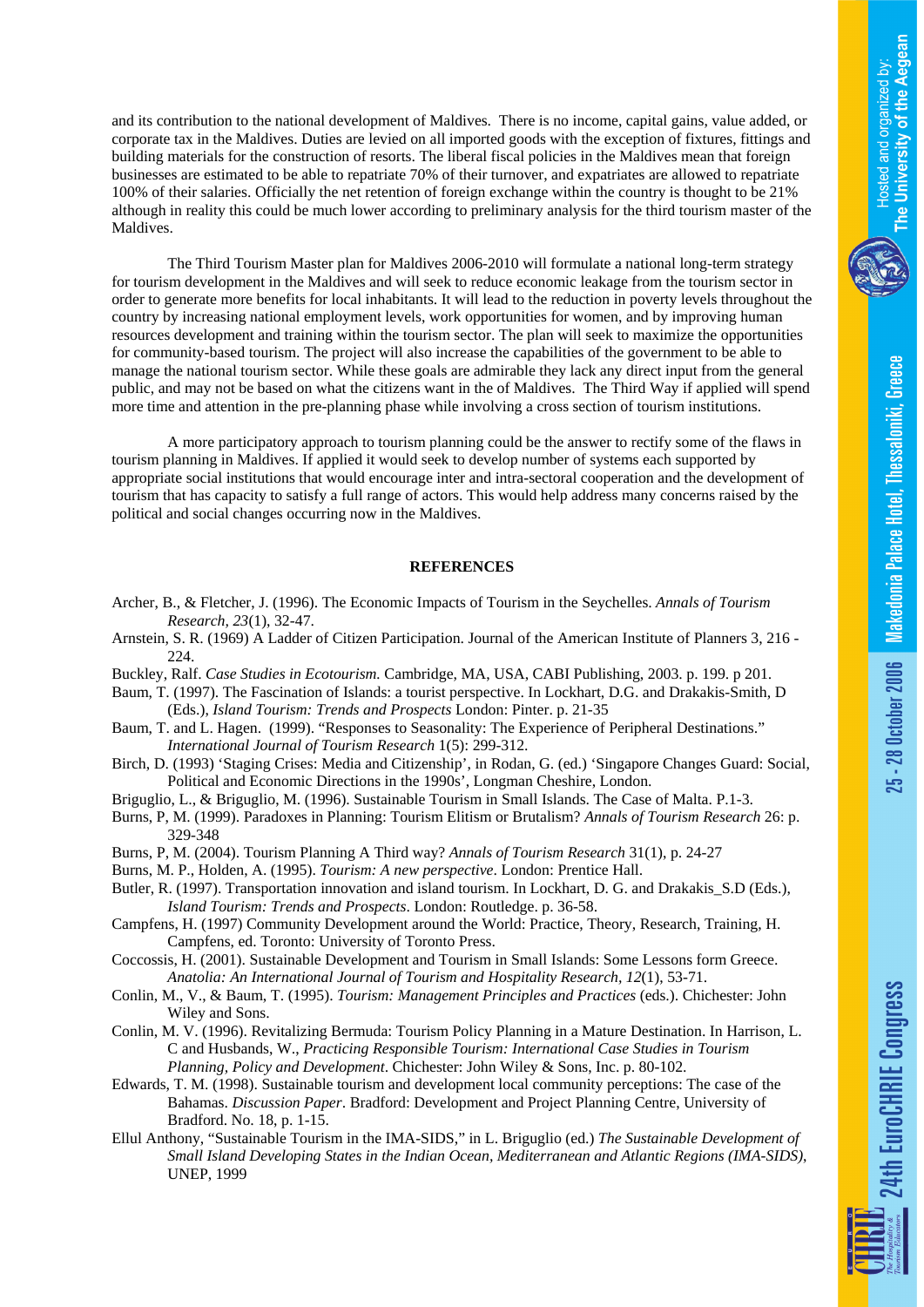25 - 28 October 2006 Makedonia Palace Hotel, Thessaloniki, Greece

**24th EuroCHRIE Congress** 

corporate tax in the Maldives. Duties are levied on all imported goods with the exception of fixtures, fittings and building materials for the construction of resorts. The liberal fiscal policies in the Maldives mean that foreign businesses are estimated to be able to repatriate 70% of their turnover, and expatriates are allowed to repatriate 100% of their salaries. Officially the net retention of foreign exchange within the country is thought to be 21% although in reality this could be much lower according to preliminary analysis for the third tourism master of the Maldives.

and its contribution to the national development of Maldives. There is no income, capital gains, value added, or

The Third Tourism Master plan for Maldives 2006-2010 will formulate a national long-term strategy for tourism development in the Maldives and will seek to reduce economic leakage from the tourism sector in order to generate more benefits for local inhabitants. It will lead to the reduction in poverty levels throughout the country by increasing national employment levels, work opportunities for women, and by improving human resources development and training within the tourism sector. The plan will seek to maximize the opportunities for community-based tourism. The project will also increase the capabilities of the government to be able to manage the national tourism sector. While these goals are admirable they lack any direct input from the general public, and may not be based on what the citizens want in the of Maldives. The Third Way if applied will spend more time and attention in the pre-planning phase while involving a cross section of tourism institutions.

A more participatory approach to tourism planning could be the answer to rectify some of the flaws in tourism planning in Maldives. If applied it would seek to develop number of systems each supported by appropriate social institutions that would encourage inter and intra-sectoral cooperation and the development of tourism that has capacity to satisfy a full range of actors. This would help address many concerns raised by the political and social changes occurring now in the Maldives.

#### **REFERENCES**

- Archer, B., & Fletcher, J. (1996). The Economic Impacts of Tourism in the Seychelles. *Annals of Tourism Research, 23*(1), 32-47.
- Arnstein, S. R. (1969) A Ladder of Citizen Participation. Journal of the American Institute of Planners 3, 216 224.
- Buckley, Ralf. *Case Studies in Ecotourism.* Cambridge, MA, USA, CABI Publishing, 2003. p. 199. p 201.
- Baum, T. (1997). The Fascination of Islands: a tourist perspective. In Lockhart, D.G. and Drakakis-Smith, D (Eds.), *Island Tourism: Trends and Prospects* London: Pinter. p. 21-35
- Baum, T. and L. Hagen. (1999). "Responses to Seasonality: The Experience of Peripheral Destinations." *International Journal of Tourism Research* 1(5): 299-312.
- Birch, D. (1993) 'Staging Crises: Media and Citizenship', in Rodan, G. (ed.) 'Singapore Changes Guard: Social, Political and Economic Directions in the 1990s', Longman Cheshire, London.
- Briguglio, L., & Briguglio, M. (1996). Sustainable Tourism in Small Islands. The Case of Malta. P.1-3.
- Burns, P, M. (1999). Paradoxes in Planning: Tourism Elitism or Brutalism? *Annals of Tourism Research* 26: p. 329-348
- Burns, P, M. (2004). Tourism Planning A Third way? *Annals of Tourism Research* 31(1), p. 24-27
- Burns, M. P., Holden, A. (1995). *Tourism: A new perspective*. London: Prentice Hall.
- Butler, R. (1997). Transportation innovation and island tourism. In Lockhart, D. G. and Drakakis\_S.D (Eds.), *Island Tourism: Trends and Prospects*. London: Routledge. p. 36-58.
- Campfens, H. (1997) Community Development around the World: Practice, Theory, Research, Training, H. Campfens, ed. Toronto: University of Toronto Press.
- Coccossis, H. (2001). Sustainable Development and Tourism in Small Islands: Some Lessons form Greece. *Anatolia: An International Journal of Tourism and Hospitality Research, 12*(1), 53-71.
- Conlin, M., V., & Baum, T. (1995). *Tourism: Management Principles and Practices* (eds.). Chichester: John Wiley and Sons.
- Conlin, M. V. (1996). Revitalizing Bermuda: Tourism Policy Planning in a Mature Destination. In Harrison, L. C and Husbands, W., *Practicing Responsible Tourism: International Case Studies in Tourism Planning, Policy and Development*. Chichester: John Wiley & Sons, Inc. p. 80-102.
- Edwards, T. M. (1998). Sustainable tourism and development local community perceptions: The case of the Bahamas. *Discussion Paper*. Bradford: Development and Project Planning Centre, University of Bradford. No. 18, p. 1-15.
- Ellul Anthony, "Sustainable Tourism in the IMA-SIDS," in L. Briguglio (ed.) *The Sustainable Development of Small Island Developing States in the Indian Ocean, Mediterranean and Atlantic Regions (IMA-SIDS)*, UNEP, 1999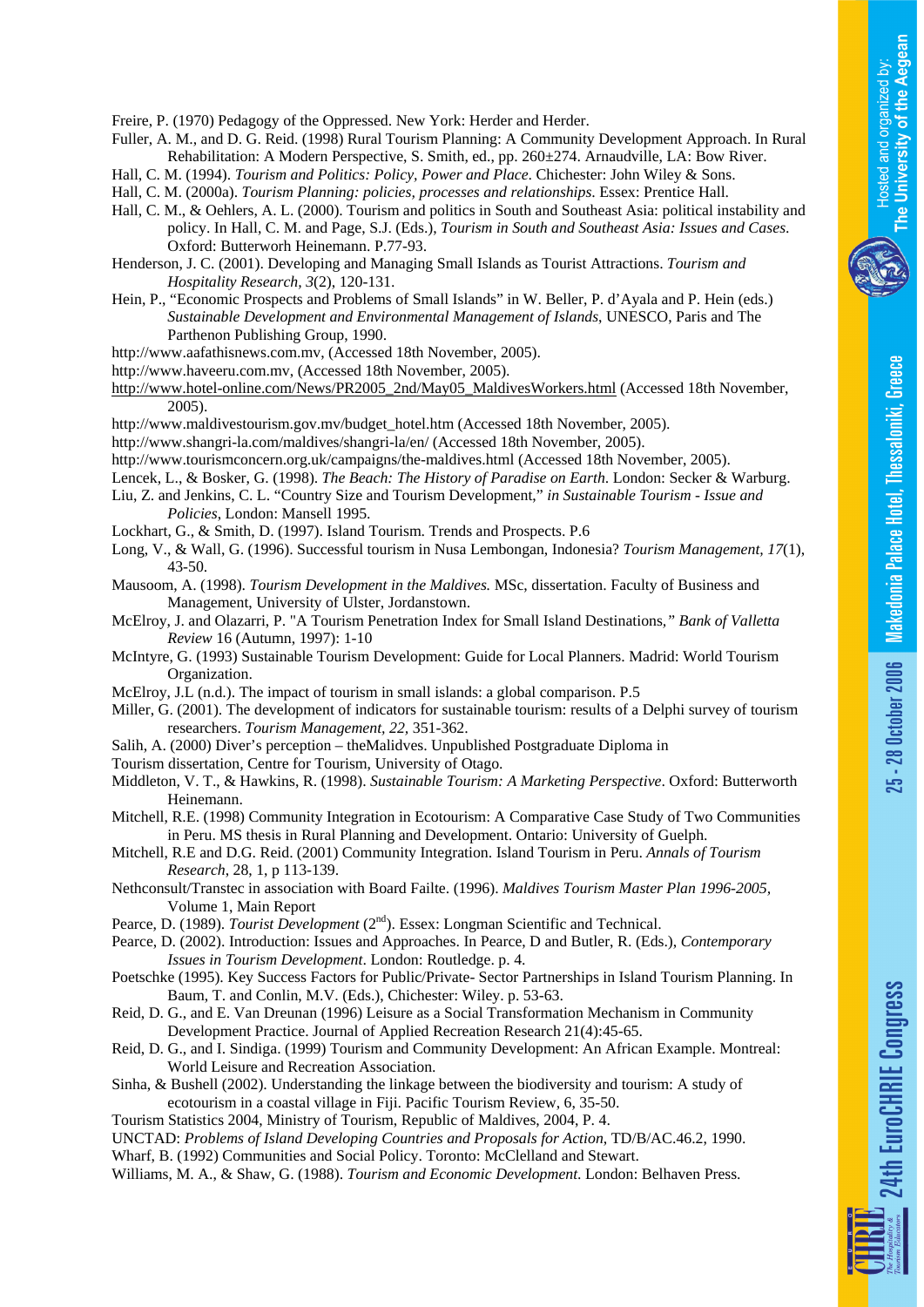25 - 28 October 2006 | Makedonia Palace Hotel, Thessaloniki, Greece

4th EuroCHRIE Congress

Freire, P. (1970) Pedagogy of the Oppressed. New York: Herder and Herder.

- Fuller, A. M., and D. G. Reid. (1998) Rural Tourism Planning: A Community Development Approach. In Rural Rehabilitation: A Modern Perspective, S. Smith, ed., pp. 260±274. Arnaudville, LA: Bow River.
- Hall, C. M. (1994). *Tourism and Politics: Policy, Power and Place*. Chichester: John Wiley & Sons.
- Hall, C. M. (2000a). *Tourism Planning: policies, processes and relationships*. Essex: Prentice Hall.
- Hall, C. M., & Oehlers, A. L. (2000). Tourism and politics in South and Southeast Asia: political instability and policy. In Hall, C. M. and Page, S.J. (Eds.), *Tourism in South and Southeast Asia: Issues and Cases*. Oxford: Butterworh Heinemann. P.77-93.
- Henderson, J. C. (2001). Developing and Managing Small Islands as Tourist Attractions. *Tourism and Hospitality Research, 3*(2), 120-131.
- Hein, P., "Economic Prospects and Problems of Small Islands" in W. Beller, P. d'Ayala and P. Hein (eds.) *Sustainable Development and Environmental Management of Islands*, UNESCO, Paris and The Parthenon Publishing Group, 1990.
- http://www.aafathisnews.com.mv, (Accessed 18th November, 2005).
- http://www.haveeru.com.mv, (Accessed 18th November, 2005).
- http://www.hotel-online.com/News/PR2005\_2nd/May05\_MaldivesWorkers.html (Accessed 18th November, 2005).
- http://www.maldivestourism.gov.mv/budget\_hotel.htm (Accessed 18th November, 2005).
- http://www.shangri-la.com/maldives/shangri-la/en/ (Accessed 18th November, 2005).
- http://www.tourismconcern.org.uk/campaigns/the-maldives.html (Accessed 18th November, 2005).
- Lencek, L., & Bosker, G. (1998). *The Beach: The History of Paradise on Earth*. London: Secker & Warburg.
- Liu, Z. and Jenkins, C. L. "Country Size and Tourism Development," *in Sustainable Tourism Issue and Policies*, London: Mansell 1995.
- Lockhart, G., & Smith, D. (1997). Island Tourism. Trends and Prospects. P.6
- Long, V., & Wall, G. (1996). Successful tourism in Nusa Lembongan, Indonesia? *Tourism Management, 17*(1), 43-50.
- Mausoom, A. (1998). *Tourism Development in the Maldives.* MSc, dissertation. Faculty of Business and Management, University of Ulster, Jordanstown.
- McElroy, J. and Olazarri, P. "A Tourism Penetration Index for Small Island Destinations*," Bank of Valletta Review* 16 (Autumn, 1997): 1-10
- McIntyre, G. (1993) Sustainable Tourism Development: Guide for Local Planners. Madrid: World Tourism Organization.
- McElroy, J.L (n.d.). The impact of tourism in small islands: a global comparison. P.5
- Miller, G. (2001). The development of indicators for sustainable tourism: results of a Delphi survey of tourism researchers. *Tourism Management, 22,* 351-362.
- Salih, A. (2000) Diver's perception theMalidves. Unpublished Postgraduate Diploma in
- Tourism dissertation, Centre for Tourism, University of Otago.
- Middleton, V. T., & Hawkins, R. (1998). *Sustainable Tourism: A Marketing Perspective*. Oxford: Butterworth Heinemann.
- Mitchell, R.E. (1998) Community Integration in Ecotourism: A Comparative Case Study of Two Communities in Peru. MS thesis in Rural Planning and Development. Ontario: University of Guelph.
- Mitchell, R.E and D.G. Reid. (2001) Community Integration. Island Tourism in Peru. *Annals of Tourism Research*, 28, 1, p 113-139.
- Nethconsult/Transtec in association with Board Failte. (1996). *Maldives Tourism Master Plan 1996-2005,* Volume 1, Main Report
- Pearce, D. (1989). *Tourist Development* (2<sup>nd</sup>). Essex: Longman Scientific and Technical.
- Pearce, D. (2002). Introduction: Issues and Approaches. In Pearce, D and Butler, R. (Eds.), *Contemporary Issues in Tourism Development*. London: Routledge. p. 4.
- Poetschke (1995). Key Success Factors for Public/Private- Sector Partnerships in Island Tourism Planning. In Baum, T. and Conlin, M.V. (Eds.), Chichester: Wiley. p. 53-63.
- Reid, D. G., and E. Van Dreunan (1996) Leisure as a Social Transformation Mechanism in Community Development Practice. Journal of Applied Recreation Research 21(4):45-65.
- Reid, D. G., and I. Sindiga. (1999) Tourism and Community Development: An African Example. Montreal: World Leisure and Recreation Association.
- Sinha, & Bushell (2002). Understanding the linkage between the biodiversity and tourism: A study of ecotourism in a coastal village in Fiji. Pacific Tourism Review, 6, 35-50.
- Tourism Statistics 2004, Ministry of Tourism, Republic of Maldives, 2004, P. 4.
- UNCTAD: *Problems of Island Developing Countries and Proposals for Action*, TD/B/AC.46.2, 1990.
- Wharf, B. (1992) Communities and Social Policy. Toronto: McClelland and Stewart.
- Williams, M. A., & Shaw, G. (1988). *Tourism and Economic Development*. London: Belhaven Press.